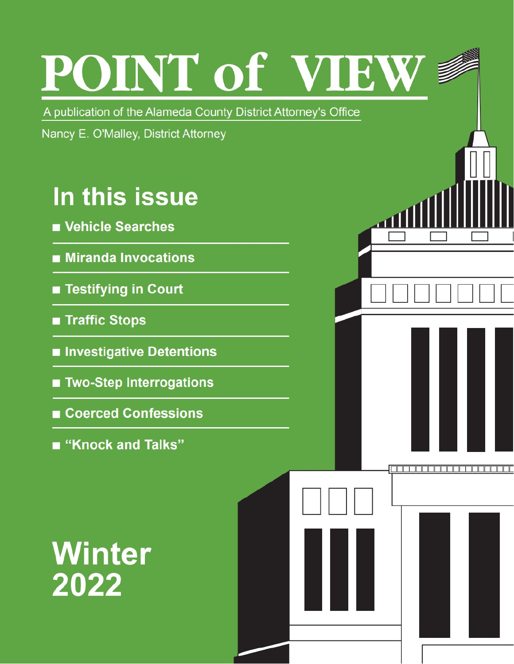# POINT of VIEW

10000000000000000000

A publication of the Alameda County District Attorney's Office

Nancy E. O'Malley, District Attorney

### In this issue

- Vehicle Searches
- **Miranda Invocations**
- Testifying in Court
- **Traffic Stops**
- Investigative Detentions
- Two-Step Interrogations
- Coerced Confessions
- "Knock and Talks"

# **Winter** 2022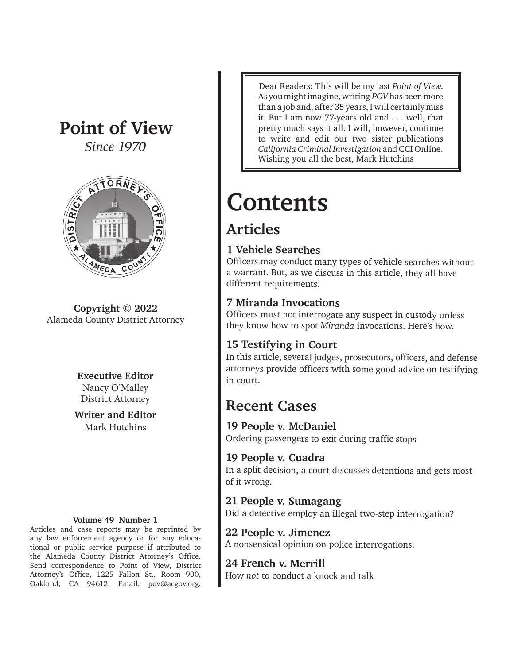### **Point of View**

*Since 1970*



**Copyright © 2022** Alameda County District Attorney

> **Executive Editor** Nancy O'Malley District Attorney

**Writer and Editor** Mark Hutchins

#### **Volume 49 Number 1**

Articles and case reports may be reprinted by any law enforcement agency or for any educational or public service purpose if attributed to the Alameda County District Attorney's Office. Send correspondence to Point of View, District Attorney's Office, 1225 Fallon St., Room 900, Oakland, CA 94612. Email: pov@acgov.org.

Dear Readers: This will be my last *Point of View*. As you might imagine, writing *POV* has been more than a job and, after 35 years, I will certainly miss it. But I am now 77-years old and . . . well, that pretty much says it all. I will, however, continue to write and edit our two sister publications *California Criminal Investigation* and CCI Online. Wishing you all the best, Mark Hutchins

### **Contents**

#### **Articles**

#### **1 Vehicle Searches**

Officers may conduct many types of vehicle searches without a warrant. But, as we discuss in this article, they all have different requirements.

#### **7 Miranda Invocations**

Officers must not interrogate any suspect in custody unless they know how to spot *Miranda* invocations. Here's how.

#### **15 Testifying in Court**

In this article, several judges, prosecutors, officers, and defense attorneys provide officers with some good advice on testifying in court.

#### **Recent Cases**

**19 People v. McDaniel** Ordering passengers to exit during traffic stops

**19 People v. Cuadra** In a split decision, a court discusses detentions and gets most of it wrong.

#### **21 People v. Sumagang** Did a detective employ an illegal two-step interrogation?

**22 People v. Jimenez** A nonsensical opinion on police interrogations.

#### **24 French v. Merrill**

How *not* to conduct a knock and talk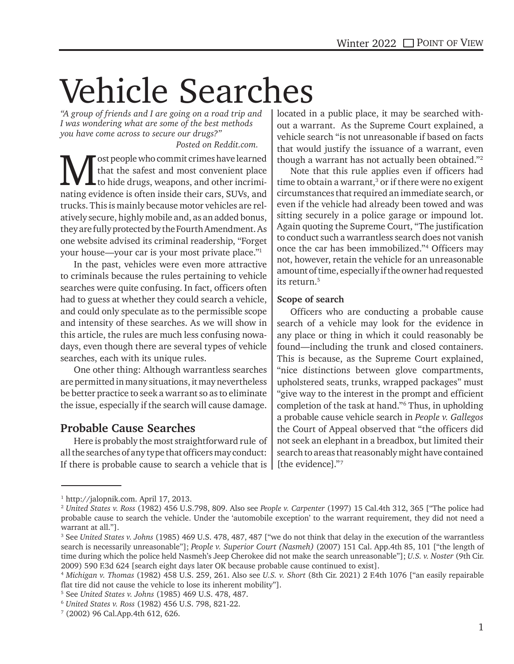# Vehicle Searches

*"A group of friends and I are going on a road trip and I was wondering what are some of the best methods you have come across to secure our drugs?"* 

#### *Posted on Reddit.com.*

**M** ost people who commit crimes have learned<br>to hide drugs, weapons, and other incrimi-<br>nating gridance is often inside their gave. SLWe and that the safest and most convenient place to hide drugs, weapons, and other incriminating evidence is often inside their cars, SUVs, and trucks. This is mainly because motor vehicles are relatively secure, highly mobile and, as an added bonus, they are fully protected by the Fourth Amendment. As one website advised its criminal readership, "Forget your house—your car is your most private place."1

In the past, vehicles were even more attractive to criminals because the rules pertaining to vehicle searches were quite confusing. In fact, officers often had to guess at whether they could search a vehicle, and could only speculate as to the permissible scope and intensity of these searches. As we will show in this article, the rules are much less confusing nowadays, even though there are several types of vehicle searches, each with its unique rules.

One other thing: Although warrantless searches are permitted in many situations, it may nevertheless be better practice to seek a warrant so as to eliminate the issue, especially if the search will cause damage.

#### **Probable Cause Searches**

Here is probably the most straightforward rule of all the searches of any type that officers may conduct: If there is probable cause to search a vehicle that is  $\vert$ 

located in a public place, it may be searched without a warrant. As the Supreme Court explained, a vehicle search "is not unreasonable if based on facts that would justify the issuance of a warrant, even though a warrant has not actually been obtained."2

Note that this rule applies even if officers had time to obtain a warrant,<sup>3</sup> or if there were no exigent circumstances that required an immediate search, or even if the vehicle had already been towed and was sitting securely in a police garage or impound lot. Again quoting the Supreme Court, "The justification to conduct such a warrantless search does not vanish once the car has been immobilized."4 Officers may not, however, retain the vehicle for an unreasonable amount of time, especially if the owner had requested its return.5

#### **Scope of search**

Officers who are conducting a probable cause search of a vehicle may look for the evidence in any place or thing in which it could reasonably be found—including the trunk and closed containers. This is because, as the Supreme Court explained, "nice distinctions between glove compartments, upholstered seats, trunks, wrapped packages" must "give way to the interest in the prompt and efficient completion of the task at hand."6 Thus, in upholding a probable cause vehicle search in *People v. Gallegos*  the Court of Appeal observed that "the officers did not seek an elephant in a breadbox, but limited their search to areas that reasonably might have contained [the evidence]."7

<sup>1</sup> http://jalopnik.com. April 17, 2013.

<sup>2</sup> *United States v. Ross* (1982) 456 U.S.798, 809. Also see *People v. Carpenter* (1997) 15 Cal.4th 312, 365 ["The police had probable cause to search the vehicle. Under the 'automobile exception' to the warrant requirement, they did not need a warrant at all."].

<sup>3</sup> See *United States v. Johns* (1985) 469 U.S. 478, 487, 487 ["we do not think that delay in the execution of the warrantless search is necessarily unreasonable"]; *People v. Superior Court (Nasmeh)* (2007) 151 Cal. App.4th 85, 101 ["the length of time during which the police held Nasmeh's Jeep Cherokee did not make the search unreasonable"]; *U.S. v. Noster* (9th Cir. 2009) 590 F.3d 624 [search eight days later OK because probable cause continued to exist].

<sup>4</sup> *Michigan v. Thomas* (1982) 458 U.S. 259, 261. Also see *U.S. v. Short* (8th Cir. 2021) 2 F.4th 1076 ["an easily repairable flat tire did not cause the vehicle to lose its inherent mobility"].

<sup>5</sup> See *United States v. Johns* (1985) 469 U.S. 478, 487.

<sup>6</sup> *United States v. Ross* (1982) 456 U.S. 798, 821-22. 7

 <sup>(2002) 96</sup> Cal.App.4th 612, 626.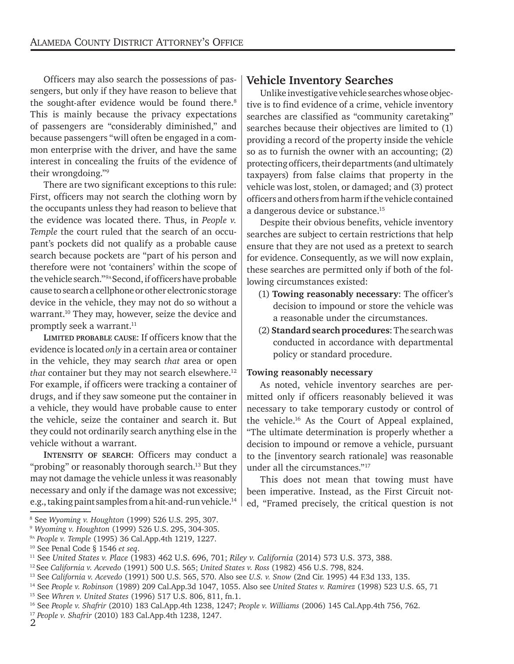Officers may also search the possessions of passengers, but only if they have reason to believe that the sought-after evidence would be found there.<sup>8</sup> This is mainly because the privacy expectations of passengers are "considerably diminished," and because passengers "will often be engaged in a common enterprise with the driver, and have the same interest in concealing the fruits of the evidence of their wrongdoing."9

There are two significant exceptions to this rule: First, officers may not search the clothing worn by the occupants unless they had reason to believe that the evidence was located there. Thus, in *People v. Temple* the court ruled that the search of an occupant's pockets did not qualify as a probable cause search because pockets are "part of his person and therefore were not 'containers' within the scope of the vehicle search."9A Second, if officers have probable cause to search a cellphone or other electronic storage device in the vehicle, they may not do so without a warrant.10 They may, however, seize the device and promptly seek a warrant.<sup>11</sup>

**LIMITED PROBABLE CAUSE**: If officers know that the evidence is located *only* in a certain area or container in the vehicle, they may search *that* area or open *that* container but they may not search elsewhere.<sup>12</sup> For example, if officers were tracking a container of drugs, and if they saw someone put the container in a vehicle, they would have probable cause to enter the vehicle, seize the container and search it. But they could not ordinarily search anything else in the vehicle without a warrant.

**INTENSITY OF SEARCH**: Officers may conduct a "probing" or reasonably thorough search.<sup>13</sup> But they may not damage the vehicle unless it was reasonably necessary and only if the damage was not excessive; e.g., taking paint samples from a hit-and-run vehicle.14

#### **Vehicle Inventory Searches**

Unlike investigative vehicle searches whose objective is to find evidence of a crime, vehicle inventory searches are classified as "community caretaking" searches because their objectives are limited to (1) providing a record of the property inside the vehicle so as to furnish the owner with an accounting; (2) protecting officers, their departments (and ultimately taxpayers) from false claims that property in the vehicle was lost, stolen, or damaged; and (3) protect officers and others from harm if the vehicle contained a dangerous device or substance.15

Despite their obvious benefits, vehicle inventory searches are subject to certain restrictions that help ensure that they are not used as a pretext to search for evidence. Consequently, as we will now explain, these searches are permitted only if both of the following circumstances existed:

- (1) **Towing reasonably necessary**: The officer's decision to impound or store the vehicle was a reasonable under the circumstances.
- (2) **Standard search procedures**: The search was conducted in accordance with departmental policy or standard procedure.

#### **Towing reasonably necessary**

As noted, vehicle inventory searches are permitted only if officers reasonably believed it was necessary to take temporary custody or control of the vehicle.16 As the Court of Appeal explained, "The ultimate determination is properly whether a decision to impound or remove a vehicle, pursuant to the [inventory search rationale] was reasonable under all the circumstances."17

This does not mean that towing must have been imperative. Instead, as the First Circuit noted, "Framed precisely, the critical question is not

<sup>8</sup> See *Wyoming v. Houghton* (1999) 526 U.S. 295, 307.

<sup>9</sup> *Wyoming v. Houghton* (1999) 526 U.S. 295, 304-305.

<sup>9</sup>A *People v. Temple* (1995) 36 Cal.App.4th 1219, 1227.

<sup>&</sup>lt;sup>10</sup> See Penal Code § 1546 *et seq.*<br>
<sup>11</sup> See United States v. Place (1983) 462 U.S. 696, 701; Riley v. California (2014) 573 U.S. 373, 388.<br>
<sup>12</sup> See California v. Acevedo (1991) 500 U.S. 565; United States v. Ross (1982

<sup>17</sup> *People v. Shafrir* (2010) 183 Cal.App.4th 1238, 1247.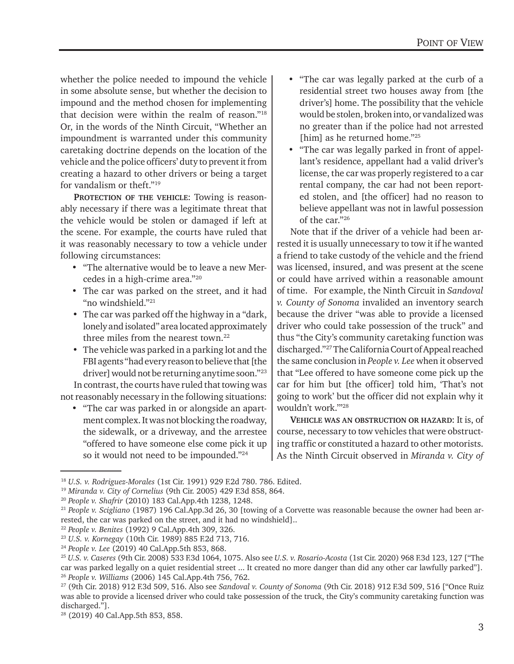whether the police needed to impound the vehicle in some absolute sense, but whether the decision to impound and the method chosen for implementing that decision were within the realm of reason."18 Or, in the words of the Ninth Circuit, "Whether an impoundment is warranted under this community caretaking doctrine depends on the location of the vehicle and the police officers' duty to prevent it from creating a hazard to other drivers or being a target for vandalism or theft."19

**PROTECTION OF THE VEHICLE**: Towing is reasonably necessary if there was a legitimate threat that the vehicle would be stolen or damaged if left at the scene. For example, the courts have ruled that it was reasonably necessary to tow a vehicle under following circumstances:

- "The alternative would be to leave a new Mercedes in a high-crime area."20
- The car was parked on the street, and it had "no windshield."21
- The car was parked off the highway in a "dark, lonely and isolated" area located approximately three miles from the nearest town.<sup>22</sup>
- The vehicle was parked in a parking lot and the FBI agents "had every reason to believe that [the driver] would not be returning anytime soon."23

In contrast, the courts have ruled that towing was not reasonably necessary in the following situations:

• "The car was parked in or alongside an apartment complex. It was not blocking the roadway, the sidewalk, or a driveway, and the arrestee "offered to have someone else come pick it up so it would not need to be impounded."24

- "The car was legally parked at the curb of a residential street two houses away from [the driver's] home. The possibility that the vehicle would be stolen, broken into, or vandalized was no greater than if the police had not arrested [him] as he returned home."25
- "The car was legally parked in front of appellant's residence, appellant had a valid driver's license, the car was properly registered to a car rental company, the car had not been reported stolen, and [the officer] had no reason to believe appellant was not in lawful possession of the car."26

Note that if the driver of a vehicle had been arrested it is usually unnecessary to tow it if he wanted a friend to take custody of the vehicle and the friend was licensed, insured, and was present at the scene or could have arrived within a reasonable amount of time. For example, the Ninth Circuit in *Sandoval v. County of Sonoma* invalided an inventory search because the driver "was able to provide a licensed driver who could take possession of the truck" and thus "the City's community caretaking function was discharged."27 The California Court of Appeal reached the same conclusion in *People v. Lee* when it observed that "Lee offered to have someone come pick up the car for him but [the officer] told him, 'That's not going to work' but the officer did not explain why it wouldn't work.'"28

**VEHICLE WAS AN OBSTRUCTION OR HAZARD**: It is, of course, necessary to tow vehicles that were obstructing traffic or constituted a hazard to other motorists. As the Ninth Circuit observed in *Miranda v. City of* 

<sup>&</sup>lt;sup>18</sup> U.S. v. Rodriguez-Morales (1st Cir. 1991) 929 F.2d 780. 786. Edited.<br><sup>19</sup> Miranda v. City of Cornelius (9th Cir. 2005) 429 F.3d 858, 864.<br><sup>20</sup> People v. Shafrir (2010) 183 Cal.App.4th 1238, 1248.<br><sup>21</sup> People v. Scigl rested, the car was parked on the street, and it had no windshield]..

<sup>&</sup>lt;sup>22</sup> People v. Benites (1992) 9 Cal.App.4th 309, 326.<br><sup>23</sup> U.S. v. Kornegay (10th Cir. 1989) 885 F.2d 713, 716.<br><sup>24</sup> People v. Lee (2019) 40 Cal.App.5th 853, 868.<br><sup>25</sup> U.S. v. Caseres (9th Cir. 2008) 533 F.3d 1064, 1075. A car was parked legally on a quiet residential street ... It created no more danger than did any other car lawfully parked"]. <sup>26</sup> People v. Williams (2006) 145 Cal.App.4th 756, 762.<br><sup>27</sup> (9th Cir. 2018) 912 F.3d 509, 516. Also see *Sandoval v. County of Sonoma* (9th Cir. 2018) 912 F.3d 509, 516 ["Once Ruiz

was able to provide a licensed driver who could take possession of the truck, the City's community caretaking function was discharged."].

<sup>28 (2019) 40</sup> Cal.App.5th 853, 858.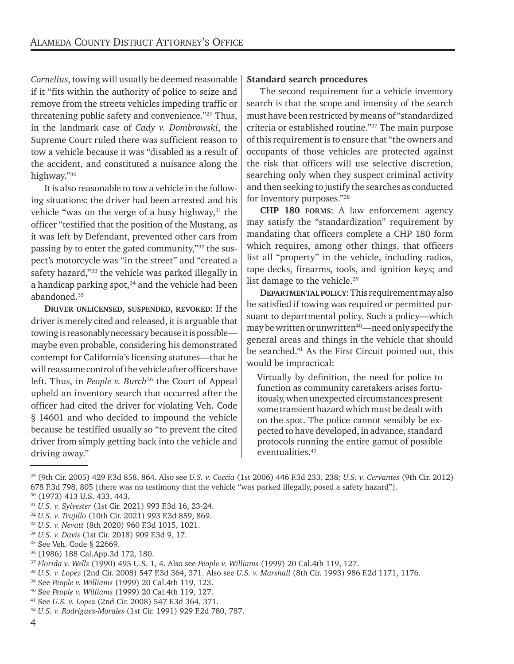*Cornelius*, towing will usually be deemed reasonable if it "fits within the authority of police to seize and remove from the streets vehicles impeding traffic or threatening public safety and convenience."29 Thus, in the landmark case of *Cady v. Dombrowski*, the Supreme Court ruled there was sufficient reason to tow a vehicle because it was "disabled as a result of the accident, and constituted a nuisance along the highway."30

It is also reasonable to tow a vehicle in the following situations: the driver had been arrested and his vehicle "was on the verge of a busy highway, $31$  the officer "testified that the position of the Mustang, as it was left by Defendant, prevented other cars from passing by to enter the gated community,"<sup>32</sup> the suspect's motorcycle was "in the street" and "created a safety hazard,"<sup>33</sup> the vehicle was parked illegally in a handicap parking spot, $34$  and the vehicle had been abandoned.35

**DRIVER UNLICENSED, SUSPENDED, REVOKED**: If the driver is merely cited and released, it is arguable that towing is reasonably necessary because it is possible maybe even probable, considering his demonstrated contempt for California's licensing statutes—that he will reassume control of the vehicle after officers have left. Thus, in *People v. Burch*36 the Court of Appeal upheld an inventory search that occurred after the officer had cited the driver for violating Veh. Code § 14601 and who decided to impound the vehicle because he testified usually so "to prevent the cited driver from simply getting back into the vehicle and driving away."

#### **Standard search procedures**

The second requirement for a vehicle inventory search is that the scope and intensity of the search must have been restricted by means of "standardized criteria or established routine."37 The main purpose of this requirement is to ensure that "the owners and occupants of those vehicles are protected against the risk that officers will use selective discretion, searching only when they suspect criminal activity and then seeking to justify the searches as conducted for inventory purposes."38

**CHP 180 FORMS**: A law enforcement agency may satisfy the "standardization" requirement by mandating that officers complete a CHP 180 form which requires, among other things, that officers list all "property" in the vehicle, including radios, tape decks, firearms, tools, and ignition keys; and list damage to the vehicle.<sup>39</sup>

**DEPARTMENTAL POLICY**: This requirement may also be satisfied if towing was required or permitted pursuant to departmental policy. Such a policy—which may be written or unwritten $40$ —need only specify the general areas and things in the vehicle that should be searched.41 As the First Circuit pointed out, this would be impractical:

Virtually by definition, the need for police to function as community caretakers arises fortuitously, when unexpected circumstances present some transient hazard which must be dealt with on the spot. The police cannot sensibly be expected to have developed, in advance, standard protocols running the entire gamut of possible eventualities.<sup>42</sup>

- 
- <sup>33</sup> *U.S. v. Nevatt* (8th 2020) 960 F.3d 1015, 1021. 34 *U.S. v. Davis* (1st Cir. 2018) 909 F.3d 9, 17. 35 See Veh. Code § 22669.
- 
- 36 (1986) 188 Cal.App.3d 172, 180.

- <sup>37</sup> Florida v. Wells (1990) 495 U.S. 1, 4. Also see People v. Williams (1999) 20 Cal.4th 119, 127.<br><sup>38</sup> U.S. v. Lopez (2nd Cir. 2008) 547 F.3d 364, 371. Also see U.S. v. Marshall (8th Cir. 1993) 986 F.2d 1171, 1176.<br><sup>39</sup>
- 
- 
- 

<sup>29 (9</sup>th Cir. 2005) 429 F.3d 858, 864. Also see *U.S. v. Coccia* (1st 2006) 446 F.3d 233, 238*; U.S. v. Cervantes* (9th Cir. 2012) 678 F.3d 798, 805 [there was no testimony that the vehicle "was parked illegally, posed a safety hazard"]. 30 (1973) 413 U.S. 433, 443.

<sup>31</sup> *U.S. v. Sylvester* (1st Cir. 2021) 993 F.3d 16, 23-24. 32 *U.S. v. Trujillo* (10th Cir. 2021) 993 F.3d 859, 869.

<sup>41</sup> See *U.S. v. Lopez* (2nd Cir. 2008) 547 F.3d 364, 371. 42 *U.S. v. Rodriguez-Morales* (1st Cir. 1991) 929 F.2d 780, 787.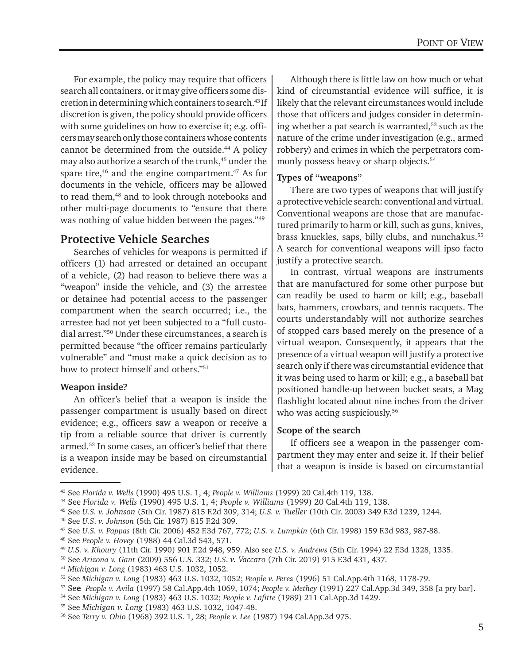For example, the policy may require that officers search all containers, or it may give officers some discretion in determining which containers to search.43 If discretion is given, the policy should provide officers with some guidelines on how to exercise it; e.g. officers may search only those containers whose contents cannot be determined from the outside.<sup>44</sup> A policy may also authorize a search of the trunk,<sup>45</sup> under the spare tire, $46$  and the engine compartment. $47$  As for documents in the vehicle, officers may be allowed to read them,<sup>48</sup> and to look through notebooks and other multi-page documents to "ensure that there was nothing of value hidden between the pages."49

#### **Protective Vehicle Searches**

Searches of vehicles for weapons is permitted if officers (1) had arrested or detained an occupant of a vehicle, (2) had reason to believe there was a "weapon" inside the vehicle, and (3) the arrestee or detainee had potential access to the passenger compartment when the search occurred; i.e., the arrestee had not yet been subjected to a "full custodial arrest."50 Under these circumstances, a search is permitted because "the officer remains particularly vulnerable" and "must make a quick decision as to how to protect himself and others."51

#### **Weapon inside?**

An officer's belief that a weapon is inside the passenger compartment is usually based on direct evidence; e.g., officers saw a weapon or receive a tip from a reliable source that driver is currently armed.52 In some cases, an officer's belief that there is a weapon inside may be based on circumstantial evidence.

Although there is little law on how much or what kind of circumstantial evidence will suffice, it is likely that the relevant circumstances would include those that officers and judges consider in determining whether a pat search is warranted,<sup>53</sup> such as the nature of the crime under investigation (e.g., armed robbery) and crimes in which the perpetrators commonly possess heavy or sharp objects.<sup>54</sup>

#### **Types of "weapons"**

There are two types of weapons that will justify a protective vehicle search: conventional and virtual. Conventional weapons are those that are manufactured primarily to harm or kill, such as guns, knives, brass knuckles, saps, billy clubs, and nunchakus.55 A search for conventional weapons will ipso facto justify a protective search.

In contrast, virtual weapons are instruments that are manufactured for some other purpose but can readily be used to harm or kill; e.g., baseball bats, hammers, crowbars, and tennis racquets. The courts understandably will not authorize searches of stopped cars based merely on the presence of a virtual weapon. Consequently, it appears that the presence of a virtual weapon will justify a protective search only if there was circumstantial evidence that it was being used to harm or kill; e.g., a baseball bat positioned handle-up between bucket seats, a Mag flashlight located about nine inches from the driver who was acting suspiciously.<sup>56</sup>

#### **Scope of the search**

If officers see a weapon in the passenger compartment they may enter and seize it. If their belief that a weapon is inside is based on circumstantial

45 See *U.S. v. Johnson* (5th Cir. 1987) 815 F.2d 309, 314; *U.S. v. Tueller* (10th Cir. 2003) 349 F.3d 1239, 1244. 46 See *U.S*. *v. Johnson* (5th Cir. 1987) 815 F.2d 309.

<sup>43</sup> See *Florida v. Wells* (1990) 495 U.S. 1, 4; *People v. Williams* (1999) 20 Cal.4th 119, 138.

<sup>44</sup> See *Florida v. Wells* (1990) 495 U.S. 1, 4; *People v. Williams* (1999) 20 Cal.4th 119, 138.

<sup>47</sup> See *U.S. v. Pappas* (8th Cir. 2006) 452 F.3d 767, 772; *U.S. v. Lumpkin* (6th Cir. 1998) 159 F.3d 983, 987-88.

<sup>48</sup> See *People v. Hovey* (1988) 44 Cal.3d 543, 571.

<sup>&</sup>lt;sup>49</sup> U.S. v. Khoury (11th Cir. 1990) 901 F.2d 948, 959. Also see U.S. v. Andrews (5th Cir. 1994) 22 F.3d 1328, 1335.<br><sup>50</sup> See Arizona v. Gant (2009) 556 U.S. 332; U.S. v. Vaccaro (7th Cir. 2019) 915 F.3d 431, 437.<br><sup>51</sup> Mic

<sup>56</sup> See *Terry v. Ohio* (1968) 392 U.S. 1, 28; *People v. Lee* (1987) 194 Cal.App.3d 975.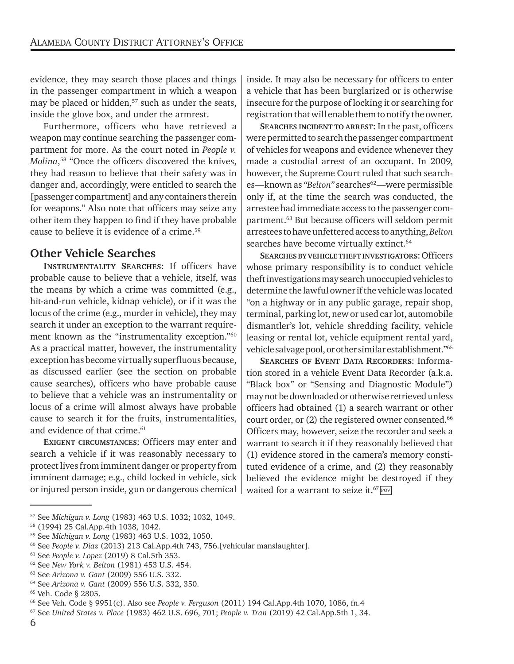evidence, they may search those places and things in the passenger compartment in which a weapon may be placed or hidden,<sup>57</sup> such as under the seats, inside the glove box, and under the armrest.

Furthermore, officers who have retrieved a weapon may continue searching the passenger compartment for more. As the court noted in *People v. Molina*, 58 "Once the officers discovered the knives, they had reason to believe that their safety was in danger and, accordingly, were entitled to search the [passenger compartment] and any containers therein for weapons." Also note that officers may seize any other item they happen to find if they have probable cause to believe it is evidence of a crime.<sup>59</sup>

#### **Other Vehicle Searches**

**INSTRUMENTALITY SEARCHES:** If officers have probable cause to believe that a vehicle, itself, was the means by which a crime was committed (e.g., hit-and-run vehicle, kidnap vehicle), or if it was the locus of the crime (e.g., murder in vehicle), they may search it under an exception to the warrant requirement known as the "instrumentality exception."60 As a practical matter, however, the instrumentality exception has become virtually superfluous because, as discussed earlier (see the section on probable cause searches), officers who have probable cause to believe that a vehicle was an instrumentality or locus of a crime will almost always have probable cause to search it for the fruits, instrumentalities, and evidence of that crime.<sup>61</sup>

**EXIGENT CIRCUMSTANCES: Officers may enter and** search a vehicle if it was reasonably necessary to protect lives from imminent danger or property from imminent damage; e.g., child locked in vehicle, sick or injured person inside, gun or dangerous chemical

57 See *Michigan v. Long* (1983) 463 U.S. 1032; 1032, 1049. 58 (1994) 25 Cal.App.4th 1038, 1042.

inside. It may also be necessary for officers to enter a vehicle that has been burglarized or is otherwise insecure for the purpose of locking it or searching for registration that will enable them to notify the owner.

**SEARCHES INCIDENT TO ARREST**: In the past, officers were permitted to search the passenger compartment of vehicles for weapons and evidence whenever they made a custodial arrest of an occupant. In 2009, however, the Supreme Court ruled that such searches—known as "Belton" searches<sup>62</sup>—were permissible only if, at the time the search was conducted, the arrestee had immediate access to the passenger compartment.63 But because officers will seldom permit arrestees to have unfettered access to anything, *Belton* searches have become virtually extinct.<sup>64</sup>

**SEARCHES BY VEHICLE THEFT INVESTIGATORS**: Officer s whose primary responsibility is to conduct vehicle theft investigations may search unoccupied vehicles to determine the lawful owner if the vehicle was located "on a highway or in any public garage, repair shop, terminal, parking lot, new or used car lot, automobile dismantler's lot, vehicle shredding facility, vehicle leasing or rental lot, vehicle equipment rental yard, vehicle salvage pool, or other similar establishment."65

**SEARCHES OF EVENT DATA RECORDERS**: Information stored in a vehicle Event Data Recorder (a.k.a. "Black box" or "Sensing and Diagnostic Module") may not be downloaded or otherwise retrieved unless officers had obtained (1) a search warrant or other court order, or (2) the registered owner consented.<sup>66</sup> Officers may, however, seize the recorder and seek a warrant to search it if they reasonably believed that (1) evidence stored in the camera's memory constituted evidence of a crime, and (2) they reasonably believed the evidence might be destroyed if they waited for a warrant to seize it. $^{67}$   $\!\!{\rm PeV}$ 

<sup>59</sup> See *Michigan v. Long* (1983) 463 U.S. 1032, 1050.

<sup>60</sup> See *People v. Diaz* (2013) 213 Cal.App.4th 743, 756.[vehicular manslaughter].

<sup>&</sup>lt;sup>61</sup> See *People v. Lopez* (2019) 8 Cal.5th 353.<br><sup>62</sup> See *New York v. Belton* (1981) 453 U.S. 454.<br><sup>63</sup> See *Arizona v. Gant* (2009) 556 U.S. 332.<br><sup>64</sup> See *Arizona v. Gant* (2009) 556 U.S. 332, 350.<br><sup>65</sup> Veh. Code § 280

<sup>66</sup> See Veh. Code § 9951(c). Also see *People v. Ferguson* (2011) 194 Cal.App.4th 1070, 1086, fn.4 67 See *United States v. Place* (1983) 462 U.S. 696, 701; *People v. Tran* (2019) 42 Cal.App.5th 1, 34.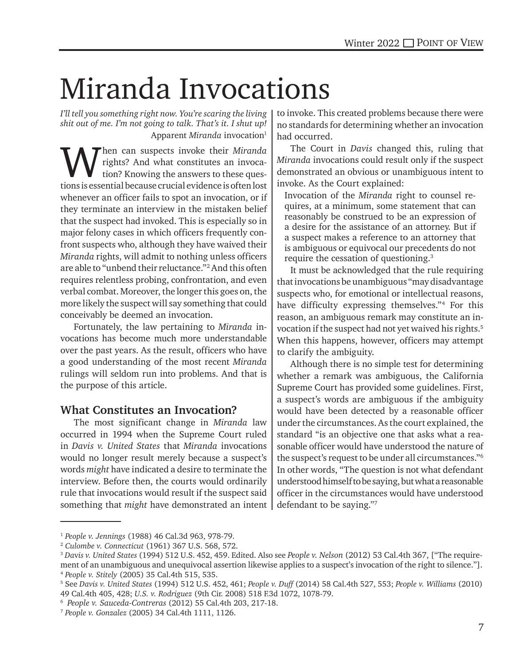# Miranda Invocations

*I'll tell you something right now. You're scaring the living shit out of me. I'm not going to talk. That's it. I shut up!*  Apparent *Miranda* invocation<sup>1</sup>

When can suspects invoke their *Miranda*<br>rights? And what constitutes an invoca-<br>tion: Knowing the answers to these quesrights? And what constitutes an invocation? Knowing the answers to these questions is essential because crucial evidence is often lost whenever an officer fails to spot an invocation, or if they terminate an interview in the mistaken belief that the suspect had invoked. This is especially so in major felony cases in which officers frequently confront suspects who, although they have waived their *Miranda* rights, will admit to nothing unless officers are able to "unbend their reluctance."2 And this often requires relentless probing, confrontation, and even verbal combat. Moreover, the longer this goes on, the more likely the suspect will say something that could conceivably be deemed an invocation.

Fortunately, the law pertaining to *Miranda* invocations has become much more understandable over the past years. As the result, officers who have a good understanding of the most recent *Miranda* rulings will seldom run into problems. And that is the purpose of this article.

#### **What Constitutes an Invocation?**

The most significant change in *Miranda* law occurred in 1994 when the Supreme Court ruled in *Davis v. United States* that *Miranda* invocations would no longer result merely because a suspect's words *might* have indicated a desire to terminate the interview. Before then, the courts would ordinarily rule that invocations would result if the suspect said something that *might* have demonstrated an intent

to invoke. This created problems because there were no standards for determining whether an invocation had occurred.

The Court in *Davis* changed this, ruling that *Miranda* invocations could result only if the suspect demonstrated an obvious or unambiguous intent to invoke. As the Court explained:

Invocation of the *Miranda* right to counsel requires, at a minimum, some statement that can reasonably be construed to be an expression of a desire for the assistance of an attorney. But if a suspect makes a reference to an attorney that is ambiguous or equivocal our precedents do not require the cessation of questioning.3

It must be acknowledged that the rule requiring that invocations be unambiguous "may disadvantage suspects who, for emotional or intellectual reasons, have difficulty expressing themselves."4 For this reason, an ambiguous remark may constitute an invocation if the suspect had not yet waived his rights.<sup>5</sup> When this happens, however, officers may attempt to clarify the ambiguity.

Although there is no simple test for determining whether a remark was ambiguous, the California Supreme Court has provided some guidelines. First, a suspect's words are ambiguous if the ambiguity would have been detected by a reasonable officer under the circumstances. As the court explained, the standard "is an objective one that asks what a reasonable officer would have understood the nature of the suspect's request to be under all circumstances."6 In other words, "The question is not what defendant understood himself to be saying, but what a reasonable officer in the circumstances would have understood defendant to be saying."7

<sup>&</sup>lt;sup>1</sup> People v. Jennings (1988) 46 Cal.3d 963, 978-79.<br><sup>2</sup> Culombe v. Connecticut (1961) 367 U.S. 568, 572.<br><sup>3</sup> Davis v. United States (1994) 512 U.S. 452, 459. Edited. Also see People v. Nelson (2012) 53 Cal.4th 367, ["The ment of an unambiguous and unequivocal assertion likewise applies to a suspect's invocation of the right to silence."]. <sup>4</sup> *People v. Stitely* (2005) 35 Cal.4th 515, 535. 5

See *Davis v. United States* (1994) 512 U.S. 452, 461; *People v. Duff* (2014) 58 Cal.4th 527, 553; *People v. Williams* (2010) 49 Cal.4th 405, 428; *U.S. v. Rodriguez* (9th Cir. 2008) 518 F.3d 1072, 1078-79. 6

*People v. Sauceda-Contreras* (2012) 55 Cal.4th 203, 217-18. 7 *People v. Gonzalez* (2005) 34 Cal.4th 1111, 1126.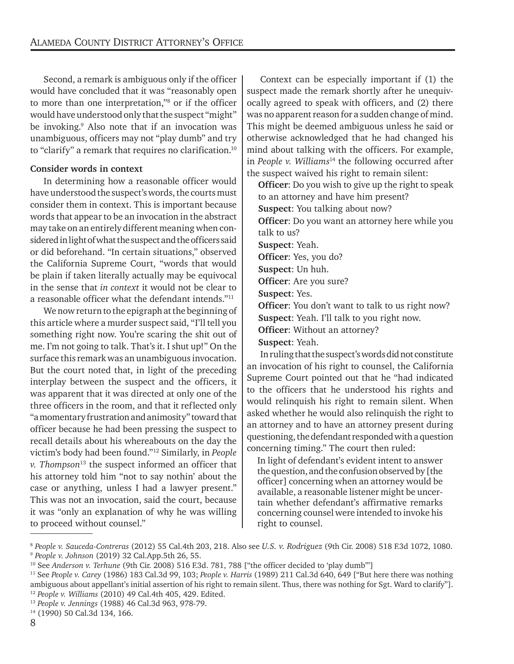Second, a remark is ambiguous only if the officer would have concluded that it was "reasonably open to more than one interpretation,"8 or if the officer would have understood only that the suspect "might" be invoking.<sup>9</sup> Also note that if an invocation was unambiguous, officers may not "play dumb" and try to "clarify" a remark that requires no clarification.<sup>10</sup>

#### **Consider words in context**

In determining how a reasonable officer would have understood the suspect's words, the courts must consider them in context. This is important because words that appear to be an invocation in the abstract may take on an entirely different meaning when considered in light of what the suspect and the officers said or did beforehand. "In certain situations," observed the California Supreme Court, "words that would be plain if taken literally actually may be equivocal in the sense that *in context* it would not be clear to a reasonable officer what the defendant intends."11

We now return to the epigraph at the beginning of this article where a murder suspect said, "I'll tell you something right now. You're scaring the shit out of me. I'm not going to talk. That's it. I shut up!" On the surface this remark was an unambiguous invocation. But the court noted that, in light of the preceding interplay between the suspect and the officers, it was apparent that it was directed at only one of the three officers in the room, and that it reflected only "a momentary frustration and animosity" toward that officer because he had been pressing the suspect to recall details about his whereabouts on the day the victim's body had been found."12 Similarly, in *People v. Thompson*13 the suspect informed an officer that his attorney told him "not to say nothin' about the case or anything, unless I had a lawyer present." This was not an invocation, said the court, because it was "only an explanation of why he was willing to proceed without counsel."

Context can be especially important if (1) the suspect made the remark shortly after he unequivocally agreed to speak with officers, and (2) there was no apparent reason for a sudden change of mind. This might be deemed ambiguous unless he said or otherwise acknowledged that he had changed his mind about talking with the officers. For example, in *People v. Williams*<sup>14</sup> the following occurred after the suspect waived his right to remain silent:

**Officer**: Do you wish to give up the right to speak to an attorney and have him present? **Suspect**: You talking about now?

**Officer**: Do you want an attorney here while you talk to us?

**Suspect**: Yeah.

**Officer**: Yes, you do?

**Suspect**: Un huh.

**Officer**: Are you sure?

**Suspect**: Yes.

**Officer**: You don't want to talk to us right now?

**Suspect**: Yeah. I'll talk to you right now.

**Officer**: Without an attorney?

**Suspect**: Yeah.

In ruling that the suspect's words did not constitute an invocation of his right to counsel, the California Supreme Court pointed out that he "had indicated to the officers that he understood his rights and would relinquish his right to remain silent. When asked whether he would also relinquish the right to an attorney and to have an attorney present during questioning, the defendant responded with a question concerning timing." The court then ruled:

In light of defendant's evident intent to answer the question, and the confusion observed by [the officer] concerning when an attorney would be available, a reasonable listener might be uncertain whether defendant's affirmative remarks concerning counsel were intended to invoke his right to counsel.

<sup>8</sup> *People v. Sauceda-Contreras* (2012) 55 Cal.4th 203, 218. Also see *U.S. v. Rodriguez* (9th Cir. 2008) 518 F.3d 1072, 1080. 9 *People v. Johnson* (2019) 32 Cal.App.5th 26, 55.

<sup>10</sup> See *Anderson v. Terhune* (9th Cir. 2008) 516 F.3d. 781, 788 ["the officer decided to 'play dumb'"]

<sup>11</sup> See *People v. Carey* (1986) 183 Cal.3d 99, 103; *People v. Harris* (1989) 211 Cal.3d 640, 649 ["But here there was nothing ambiguous about appellant's initial assertion of his right to remain silent. Thus, there was nothing for Sgt. Ward to clarify"].<br><sup>12</sup> People v. Williams (2010) 49 Cal.4th 405, 429. Edited.<br><sup>13</sup> People v. Jennings (1988) 46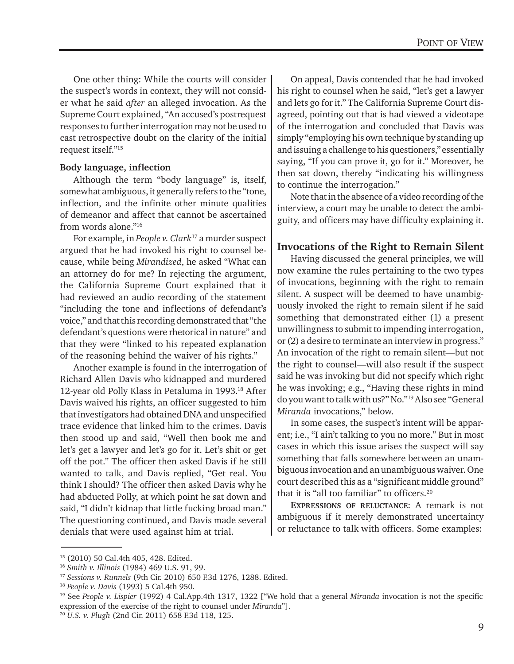One other thing: While the courts will consider the suspect's words in context, they will not consider what he said *after* an alleged invocation. As the Supreme Court explained, "An accused's postrequest responses to further interrogation may not be used to cast retrospective doubt on the clarity of the initial request itself."15

#### **Body language, inflection**

Although the term "body language" is, itself, somewhat ambiguous, it generally refers to the "tone, inflection, and the infinite other minute qualities of demeanor and affect that cannot be ascertained from words alone."16

For example, in *People v. Clark*17 a murder suspect argued that he had invoked his right to counsel because, while being *Mirandized*, he asked "What can an attorney do for me? In rejecting the argument, the California Supreme Court explained that it had reviewed an audio recording of the statement "including the tone and inflections of defendant's voice," and that this recording demonstrated that "the defendant's questions were rhetorical in nature" and that they were "linked to his repeated explanation of the reasoning behind the waiver of his rights."

Another example is found in the interrogation of Richard Allen Davis who kidnapped and murdered 12-year old Polly Klass in Petaluma in 1993.<sup>18</sup> After Davis waived his rights, an officer suggested to him that investigators had obtained DNA and unspecified trace evidence that linked him to the crimes. Davis then stood up and said, "Well then book me and let's get a lawyer and let's go for it. Let's shit or get off the pot." The officer then asked Davis if he still wanted to talk, and Davis replied, "Get real. You think I should? The officer then asked Davis why he had abducted Polly, at which point he sat down and said, "I didn't kidnap that little fucking broad man." The questioning continued, and Davis made several denials that were used against him at trial.

On appeal, Davis contended that he had invoked his right to counsel when he said, "let's get a lawyer and lets go for it." The California Supreme Court disagreed, pointing out that is had viewed a videotape of the interrogation and concluded that Davis was simply "employing his own technique by standing up and issuing a challenge to his questioners," essentially saying, "If you can prove it, go for it." Moreover, he then sat down, thereby "indicating his willingness to continue the interrogation."

Note that in the absence of a video recording of the interview, a court may be unable to detect the ambiguity, and officers may have difficulty explaining it.

#### **Invocations of the Right to Remain Silent**

Having discussed the general principles, we will now examine the rules pertaining to the two types of invocations, beginning with the right to remain silent. A suspect will be deemed to have unambiguously invoked the right to remain silent if he said something that demonstrated either (1) a present unwillingness to submit to impending interrogation, or (2) a desire to terminate an interview in progress." An invocation of the right to remain silent—but not the right to counsel—will also result if the suspect said he was invoking but did not specify which right he was invoking; e.g., "Having these rights in mind do you want to talk with us?" No."19 Also see "General *Miranda* invocations," below.

In some cases, the suspect's intent will be apparent; i.e., "I ain't talking to you no more." But in most cases in which this issue arises the suspect will say something that falls somewhere between an unambiguous invocation and an unambiguous waiver. One court described this as a "significant middle ground" that it is "all too familiar" to officers.20

**EXPRESSIONS OF RELUCTANCE**: A remark is not ambiguous if it merely demonstrated uncertainty or reluctance to talk with officers. Some examples:

<sup>15 (2010) 50</sup> Cal.4th 405, 428. Edited.

<sup>&</sup>lt;sup>16</sup> Smith v. Illinois (1984) 469 U.S. 91, 99.<br><sup>17</sup> Sessions v. Runnels (9th Cir. 2010) 650 F.3d 1276, 1288. Edited.<br><sup>18</sup> People v. Davis (1993) 5 Cal.4th 950.<br><sup>19</sup> See People v. Lispier (1992) 4 Cal.App.4th 1317, 1322 [" expression of the exercise of the right to counsel under *Miranda*"]. 20 *U.S. v. Plugh* (2nd Cir. 2011) 658 F.3d 118, 125.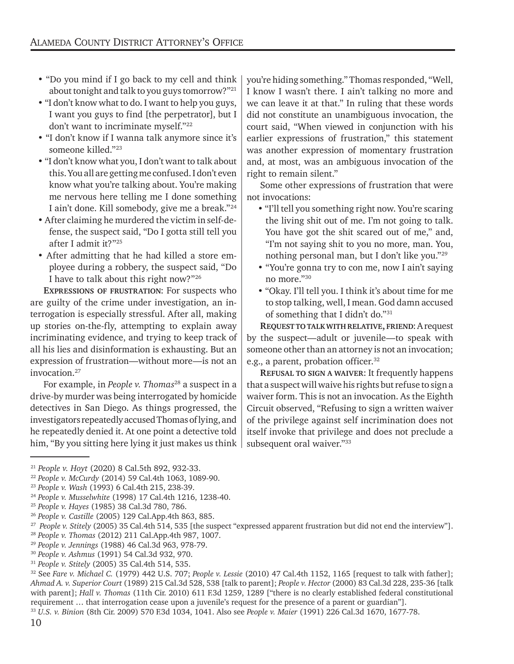- "Do you mind if I go back to my cell and think about tonight and talk to you guys tomorrow?" $^{21}$
- "I don't know what to do. I want to help you guys, I want you guys to find [the perpetrator], but I don't want to incriminate myself."22
- "I don't know if I wanna talk anymore since it's someone killed."23
- "I don't know what you, I don't want to talk about this. You all are getting me confused. I don't even know what you're talking about. You're making me nervous here telling me I done something I ain't done. Kill somebody, give me a break."24
- After claiming he murdered the victim in self-defense, the suspect said, "Do I gotta still tell you after I admit it?"25
- After admitting that he had killed a store employee during a robbery, the suspect said, "Do I have to talk about this right now?"26

**EXPRESSIONS OF FRUSTRATION**: For suspects who are guilty of the crime under investigation, an interrogation is especially stressful. After all, making up stories on-the-fly, attempting to explain away incriminating evidence, and trying to keep track of all his lies and disinformation is exhausting. But an expression of frustration—without more—is not an invocation.27

For example, in *People v. Thomas*<sup>28</sup> a suspect in a drive-by murder was being interrogated by homicide detectives in San Diego. As things progressed, the investigators repeatedly accused Thomas of lying, and he repeatedly denied it. At one point a detective told him, "By you sitting here lying it just makes us think

you're hiding something." Thomas responded, "Well, I know I wasn't there. I ain't talking no more and we can leave it at that." In ruling that these words did not constitute an unambiguous invocation, the court said, "When viewed in conjunction with his earlier expressions of frustration," this statement was another expression of momentary frustration and, at most, was an ambiguous invocation of the right to remain silent."

Some other expressions of frustration that were not invocations:

- "I'll tell you something right now. You're scaring the living shit out of me. I'm not going to talk. You have got the shit scared out of me," and, "I'm not saying shit to you no more, man. You, nothing personal man, but I don't like you."29
- "You're gonna try to con me, now I ain't saying no more."30
- "Okay. I'll tell you. I think it's about time for me to stop talking, well, I mean. God damn accused of something that I didn't do."31

**REQUEST TO TALK WITH RELATIVE, FRIEND**: A request by the suspect—adult or juvenile—to speak with someone other than an attorney is not an invocation; e.g., a parent, probation officer.<sup>32</sup>

**REFUSAL TO SIGN A WAIVER**: It frequently happens that a suspect will waive his rights but refuse to sign a waiver form. This is not an invocation. As the Eighth Circuit observed, "Refusing to sign a written waiver of the privilege against self incrimination does not itself invoke that privilege and does not preclude a subsequent oral waiver."<sup>33</sup>

<sup>&</sup>lt;sup>21</sup> People v. Hoyt (2020) 8 Cal.5th 892, 932-33.<br><sup>22</sup> People v. McCurdy (2014) 59 Cal.4th 1063, 1089-90.<br><sup>24</sup> People v. Wasselwhite (1998) 17 Cal.4th 1216, 1238-40.<br><sup>24</sup> People v. Musselwhite (1998) 17 Cal.4th 1216, 1238

*Ahmad A. v. Superior Court* (1989) 215 Cal.3d 528, 538 [talk to parent]; *People v. Hector* (2000) 83 Cal.3d 228, 235-36 [talk with parent]; *Hall v. Thomas* (11th Cir. 2010) 611 F.3d 1259, 1289 ["there is no clearly established federal constitutional requirement … that interrogation cease upon a juvenile's request for the presence of a parent or guardian"]. <sup>33</sup> *U.S. v. Binion* (8th Cir. 2009) 570 F.3d 1034, 1041. Also see *People v. Maier* (1991) 226 Cal.3d 1670, 1677-78.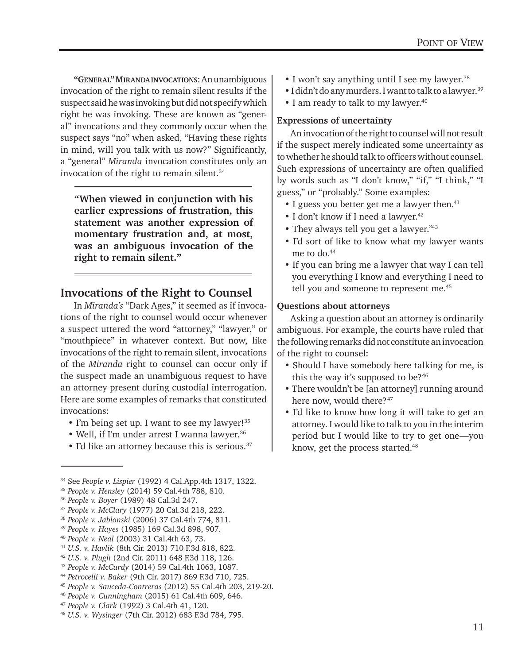**"GENERAL" MIRANDAINVOCATIONS**: An unambiguous invocation of the right to remain silent results if the suspect said he was invoking but did not specify which right he was invoking. These are known as "general" invocations and they commonly occur when the suspect says "no" when asked, "Having these rights in mind, will you talk with us now?" Significantly, a "general" *Miranda* invocation constitutes only an invocation of the right to remain silent.<sup>34</sup>

**"When viewed in conjunction with his earlier expressions of frustration, this statement was another expression of momentary frustration and, at most, was an ambiguous invocation of the right to remain silent."**

#### **Invocations of the Right to Counsel**

In *Miranda's* "Dark Ages," it seemed as if invocations of the right to counsel would occur whenever a suspect uttered the word "attorney," "lawyer," or "mouthpiece" in whatever context. But now, like invocations of the right to remain silent, invocations of the *Miranda* right to counsel can occur only if the suspect made an unambiguous request to have an attorney present during custodial interrogation. Here are some examples of remarks that constituted invocations:

- I'm being set up. I want to see my lawyer!<sup>35</sup>
- Well, if I'm under arrest I wanna lawyer.<sup>36</sup>
- I'd like an attorney because this is serious.<sup>37</sup>

<sup>34</sup> See People v. Lispier (1992) 4 Cal.App.4th 1317, 1322.<br><sup>35</sup> People v. Hensley (2014) 59 Cal.4th 788, 810.<br><sup>36</sup> People v. Boyer (1989) 48 Cal.3d 247.<br><sup>37</sup> People v. McClary (1977) 20 Cal.3d 218, 222.<br><sup>38</sup> People v. Jab

- I won't say anything until I see my lawyer.<sup>38</sup>
- I didn't do any murders. I want to talk to a lawyer.<sup>39</sup>
- I am ready to talk to my lawyer.<sup>40</sup>

#### **Expressions of uncertainty**

An invocation of the right to counsel will not result if the suspect merely indicated some uncertainty as to whether he should talk to officers without counsel. Such expressions of uncertainty are often qualified by words such as "I don't know," "if," "I think," "I guess," or "probably." Some examples:

- I guess you better get me a lawyer then.<sup>41</sup>
- I don't know if I need a lawyer.<sup>42</sup>
- They always tell you get a lawyer."43
- I'd sort of like to know what my lawyer wants me to do.<sup>44</sup>
- If you can bring me a lawyer that way I can tell you everything I know and everything I need to tell you and someone to represent me.<sup>45</sup>

#### **Questions about attorneys**

Asking a question about an attorney is ordinarily ambiguous. For example, the courts have ruled that the following remarks did not constitute an invocation of the right to counsel:

- Should I have somebody here talking for me, is this the way it's supposed to be?<sup>46</sup>
- There wouldn't be [an attorney] running around here now, would there?<sup>47</sup>
- I'd like to know how long it will take to get an attorney. I would like to talk to you in the interim period but I would like to try to get one—you know, get the process started.<sup>48</sup>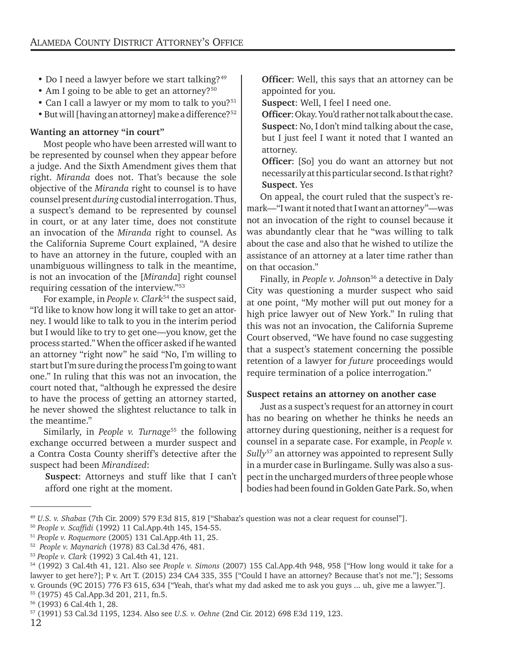- Do I need a lawyer before we start talking?<sup>49</sup>
- Am I going to be able to get an attorney?<sup>50</sup>
- Can I call a lawyer or my mom to talk to you?<sup>51</sup>
- But will [having an attorney] make a difference?<sup>52</sup>

#### **Wanting an attorney "in court"**

Most people who have been arrested will want to be represented by counsel when they appear before a judge. And the Sixth Amendment gives them that right. *Miranda* does not. That's because the sole objective of the *Miranda* right to counsel is to have counsel present *during* custodial interrogation. Thus, a suspect's demand to be represented by counsel in court, or at any later time, does not constitute an invocation of the *Miranda* right to counsel. As the California Supreme Court explained, "A desire to have an attorney in the future, coupled with an unambiguous willingness to talk in the meantime, is not an invocation of the [*Miranda*] right counsel requiring cessation of the interview."53

For example, in *People v. Clark*54 the suspect said, "I'd like to know how long it will take to get an attorney. I would like to talk to you in the interim period but I would like to try to get one—you know, get the process started." When the officer asked if he wanted an attorney "right now" he said "No, I'm willing to start but I'm sure during the process I'm going to want one." In ruling that this was not an invocation, the court noted that, "although he expressed the desire to have the process of getting an attorney started, he never showed the slightest reluctance to talk in the meantime."

Similarly, in *People v. Turnage*<sup>55</sup> the following exchange occurred between a murder suspect and a Contra Costa County sheriff's detective after the suspect had been *Mirandized*:

**Suspect**: Attorneys and stuff like that I can't afford one right at the moment.

**Officer**: Well, this says that an attorney can be appointed for you.

**Suspect**: Well, I feel I need one.

**Officer**: Okay. You'd rather not talk about the case. **Suspect**: No, I don't mind talking about the case, but I just feel I want it noted that I wanted an attorney.

**Officer**: [So] you do want an attorney but not necessarily at this particular second. Is that right? **Suspect**. Yes

On appeal, the court ruled that the suspect's remark—"I want it noted that I want an attorney"—was not an invocation of the right to counsel because it was abundantly clear that he "was willing to talk about the case and also that he wished to utilize the assistance of an attorney at a later time rather than on that occasion."

Finally, in *People v. Johnson*<sup>56</sup> a detective in Daly City was questioning a murder suspect who said at one point, "My mother will put out money for a high price lawyer out of New York." In ruling that this was not an invocation, the California Supreme Court observed, "We have found no case suggesting that a suspect's statement concerning the possible retention of a lawyer for *future* proceedings would require termination of a police interrogation."

#### **Suspect retains an attorney on another case**

Just as a suspect's request for an attorney in court has no bearing on whether he thinks he needs an attorney during questioning, neither is a request for counsel in a separate case. For example, in *People v. Sully*57 an attorney was appointed to represent Sully in a murder case in Burlingame. Sully was also a suspect in the uncharged murders of three people whose bodies had been found in Golden Gate Park. So, when

<sup>&</sup>lt;sup>49</sup> U.S. v. Shabaz (7th Cir. 2009) 579 F.3d 815, 819 ["Shabaz's question was not a clear request for counsel"].<br><sup>50</sup> People v. Scaffidi (1992) 11 Cal.App.4th 145, 154-55.<br><sup>51</sup> People v. Roquemore (2005) 131 Cal.App.4th 11

lawyer to get here?]; P v. Art T. (2015) 234 CA4 335, 355 ["Could I have an attorney? Because that's not me."]; Sessoms v. Grounds (9C 2015) 776 F3 615, 634 ["Yeah, that's what my dad asked me to ask you guys ... uh, give me a lawyer."].

<sup>55 (1975) 45</sup> Cal.App.3d 201, 211, fn.5.

<sup>56 (1993) 6</sup> Cal.4th 1, 28.

<sup>57 (1991) 53</sup> Cal.3d 1195, 1234.Also see *U.S. v. Oehne* (2nd Cir. 2012) 698 F.3d 119, 123.

<sup>12</sup>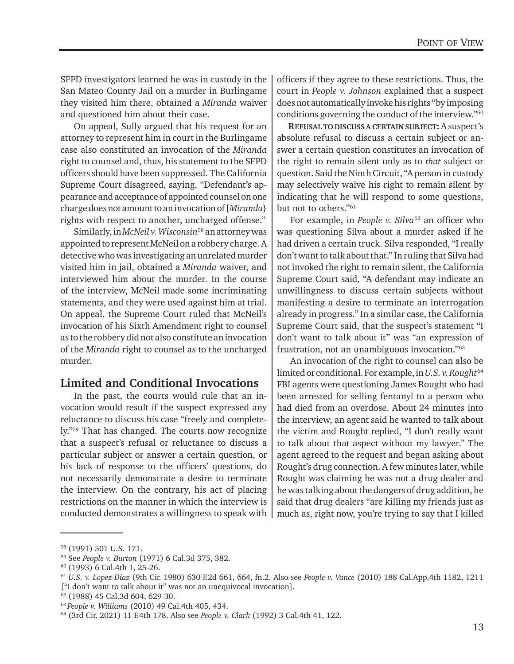SFPD investigators learned he was in custody in the San Mateo County Jail on a murder in Burlingame they visited him there, obtained a *Miranda* waiver and questioned him about their case.

On appeal, Sully argued that his request for an attorney to represent him in court in the Burlingame case also constituted an invocation of the *Miranda* right to counsel and, thus, his statement to the SFPD officers should have been suppressed. The California Supreme Court disagreed, saying, "Defendant's appearance and acceptance of appointed counsel on one charge does not amount to an invocation of [*Miranda*} rights with respect to another, uncharged offense."

Similarly, in *McNeil v. Wisconsin*58 an attorney was appointed to represent McNeil on a robbery charge. A detective who was investigating an unrelated murder visited him in jail, obtained a *Miranda* waiver, and interviewed him about the murder. In the course of the interview, McNeil made some incriminating statements, and they were used against him at trial. On appeal, the Supreme Court ruled that McNeil's invocation of his Sixth Amendment right to counsel as to the robbery did not also constitute an invocation of the *Miranda* right to counsel as to the uncharged murder.

#### **Limited and Conditional Invocations**

In the past, the courts would rule that an invocation would result if the suspect expressed any reluctance to discuss his case "freely and completely."59 That has changed. The courts now recognize that a suspect's refusal or reluctance to discuss a particular subject or answer a certain question, or his lack of response to the officers' questions, do not necessarily demonstrate a desire to terminate the interview. On the contrary, his act of placing restrictions on the manner in which the interview is conducted demonstrates a willingness to speak with

officers if they agree to these restrictions. Thus, the court in *People v. Johnson* explained that a suspect does not automatically invoke his rights "by imposing conditions governing the conduct of the interview."60

**REFUSAL TO DISCUSS A CERTAIN SUBJECT:** A suspect's absolute refusal to discuss a certain subject or answer a certain question constitutes an invocation of the right to remain silent only as to *that* subject or question. Said the Ninth Circuit, "A person in custody may selectively waive his right to remain silent by indicating that he will respond to some questions, but not to others."61

For example, in *People v. Silva<sup>62</sup>* an officer who was questioning Silva about a murder asked if he had driven a certain truck. Silva responded, "I really don't want to talk about that." In ruling that Silva had not invoked the right to remain silent, the California Supreme Court said, "A defendant may indicate an unwillingness to discuss certain subjects without manifesting a desire to terminate an interrogation already in progress." In a similar case, the California Supreme Court said, that the suspect's statement "I don't want to talk about it" was "an expression of frustration, not an unambiguous invocation."63

An invocation of the right to counsel can also be limited or conditional. For example, in *U.S. v. Rought*<sup>64</sup> FBI agents were questioning James Rought who had been arrested for selling fentanyl to a person who had died from an overdose. About 24 minutes into the interview, an agent said he wanted to talk about the victim and Rought replied, "I don't really want to talk about that aspect without my lawyer." The agent agreed to the request and began asking about Rought's drug connection. A few minutes later, while Rought was claiming he was not a drug dealer and he was talking about the dangers of drug addition, he said that drug dealers "are killing my friends just as much as, right now, you're trying to say that I killed

<sup>58 (1991) 501</sup> U.S. 171.

<sup>59</sup> See *People v. Burton* (1971) 6 Cal.3d 375, 382. 60 (1993) 6 Cal.4th 1, 25-26.

<sup>61</sup> *U.S. v. Lopez-Diaz* (9th Cir. 1980) 630 F.2d 661, 664, fn.2.Also see *People v. Vance* (2010) 188 Cal.App.4th 1182, 1211 ["I don't want to talk about it" was not an unequivocal invocation].

<sup>62 (1988) 45</sup> Cal.3d 604, 629-30.

<sup>63</sup>*People v. Williams* (2010) 49 Cal.4th 405, 434.

<sup>64 (3</sup>rd Cir. 2021) 11 F.4th 178. Also see *People v. Clark* (1992) 3 Cal.4th 41, 122.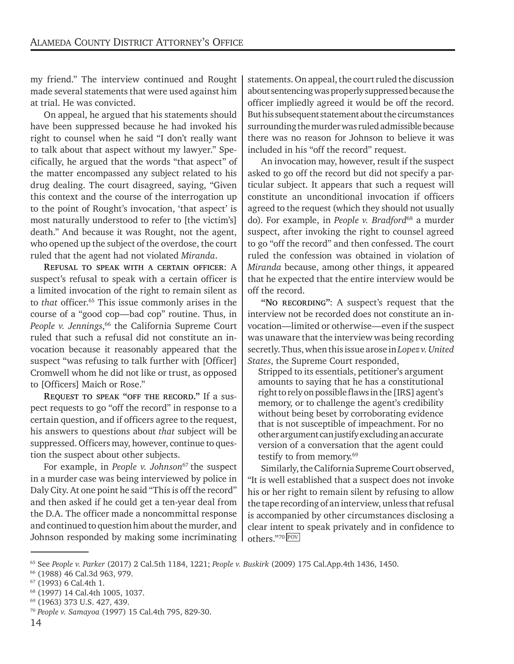my friend." The interview continued and Rought made several statements that were used against him at trial. He was convicted.

On appeal, he argued that his statements should have been suppressed because he had invoked his right to counsel when he said "I don't really want to talk about that aspect without my lawyer." Specifically, he argued that the words "that aspect" of the matter encompassed any subject related to his drug dealing. The court disagreed, saying, "Given this context and the course of the interrogation up to the point of Rought's invocation, 'that aspect' is most naturally understood to refer to [the victim's] death." And because it was Rought, not the agent, who opened up the subject of the overdose, the court ruled that the agent had not violated *Miranda*.

**REFUSAL TO SPEAK WITH A CERTAIN OFFICER**: A suspect's refusal to speak with a certain officer is a limited invocation of the right to remain silent as to *that* officer.<sup>65</sup> This issue commonly arises in the course of a "good cop—bad cop" routine. Thus, in *People v. Jennings*, 66 the California Supreme Court ruled that such a refusal did not constitute an invocation because it reasonably appeared that the suspect "was refusing to talk further with [Officer] Cromwell whom he did not like or trust, as opposed to [Officers] Maich or Rose."

**REQUEST TO SPEAK "OFF THE RECORD."** If a suspect requests to go "off the record" in response to a certain question, and if officers agree to the request, his answers to questions about *that* subject will be suppressed. Officers may, however, continue to question the suspect about other subjects.

For example, in *People v. Johnson<sup>67</sup>* the suspect in a murder case was being interviewed by police in Daly City. At one point he said "This is off the record" and then asked if he could get a ten-year deal from the D.A. The officer made a noncommittal response and continued to question him about the murder, and Johnson responded by making some incriminating statements. On appeal, the court ruled the discussion about sentencing was properly suppressed because the officer impliedly agreed it would be off the record. But his subsequent statement about the circumstances surrounding the murder was ruled admissible because there was no reason for Johnson to believe it was included in his "off the record" request.

An invocation may, however, result if the suspect asked to go off the record but did not specify a particular subject. It appears that such a request will constitute an unconditional invocation if officers agreed to the request (which they should not usually do). For example, in *People v. Bradford*68 a murder suspect, after invoking the right to counsel agreed to go "off the record" and then confessed. The court ruled the confession was obtained in violation of *Miranda* because, among other things, it appeared that he expected that the entire interview would be off the record.

**"NO RECORDING"**: A suspect's request that the interview not be recorded does not constitute an invocation—limited or otherwise—even if the suspect was unaware that the interview was being recording secretly. Thus, when this issue arose in *Lopez v. United States*, the Supreme Court responded,

Stripped to its essentials, petitioner's argument amounts to saying that he has a constitutional right to rely on possible flaws in the [IRS] agent's memory, or to challenge the agent's credibility without being beset by corroborating evidence that is not susceptible of impeachment. For no other argument can justify excluding an accurate version of a conversation that the agent could testify to from memory.<sup>69</sup>

Similarly, the California Supreme Court observed, "It is well established that a suspect does not invoke his or her right to remain silent by refusing to allow the tape recording of an interview, unless that refusal is accompanied by other circumstances disclosing a clear intent to speak privately and in confidence to others."<sup>70</sup> <u>Pov</u>

<sup>65</sup> See *People v. Parker* (2017) 2 Cal.5th 1184, 1221; *People v. Buskirk* (2009) 175 Cal.App.4th 1436, 1450.

<sup>66 (1988) 46</sup> Cal.3d 963, 979.

<sup>67 (1993) 6</sup> Cal.4th 1.

<sup>68 (1997) 14</sup> Cal.4th 1005, 1037.

<sup>69 (1963) 373</sup> U.S. 427, 439.

<sup>70</sup> *People v. Samayoa* (1997) 15 Cal.4th 795, 829-30.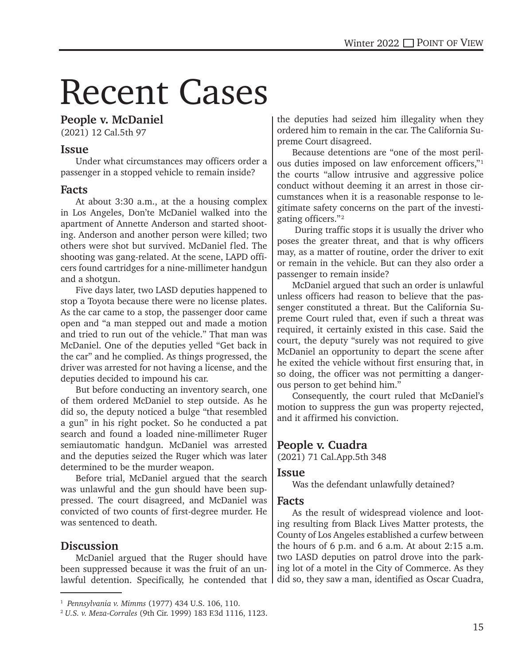# Recent Cases

#### **People v. McDaniel**

(2021) 12 Cal.5th 97

#### **Issue**

Under what circumstances may officers order a passenger in a stopped vehicle to remain inside?

#### **Facts**

At about 3:30 a.m., at the a housing complex in Los Angeles, Don'te McDaniel walked into the apartment of Annette Anderson and started shooting. Anderson and another person were killed; two others were shot but survived. McDaniel fled. The shooting was gang-related. At the scene, LAPD officers found cartridges for a nine-millimeter handgun and a shotgun.

Five days later, two LASD deputies happened to stop a Toyota because there were no license plates. As the car came to a stop, the passenger door came open and "a man stepped out and made a motion and tried to run out of the vehicle." That man was McDaniel. One of the deputies yelled "Get back in the car" and he complied. As things progressed, the driver was arrested for not having a license, and the deputies decided to impound his car.

But before conducting an inventory search, one of them ordered McDaniel to step outside. As he did so, the deputy noticed a bulge "that resembled a gun" in his right pocket. So he conducted a pat search and found a loaded nine-millimeter Ruger semiautomatic handgun. McDaniel was arrested and the deputies seized the Ruger which was later determined to be the murder weapon.

Before trial, McDaniel argued that the search was unlawful and the gun should have been suppressed. The court disagreed, and McDaniel was convicted of two counts of first-degree murder. He was sentenced to death.

#### **Discussion**

McDaniel argued that the Ruger should have been suppressed because it was the fruit of an unlawful detention. Specifically, he contended that

the deputies had seized him illegality when they ordered him to remain in the car. The California Supreme Court disagreed.

Because detentions are "one of the most perilous duties imposed on law enforcement officers,"1 the courts "allow intrusive and aggressive police conduct without deeming it an arrest in those circumstances when it is a reasonable response to legitimate safety concerns on the part of the investigating officers."2

 During traffic stops it is usually the driver who poses the greater threat, and that is why officers may, as a matter of routine, order the driver to exit or remain in the vehicle. But can they also order a passenger to remain inside?

McDaniel argued that such an order is unlawful unless officers had reason to believe that the passenger constituted a threat. But the California Supreme Court ruled that, even if such a threat was required, it certainly existed in this case. Said the court, the deputy "surely was not required to give McDaniel an opportunity to depart the scene after he exited the vehicle without first ensuring that, in so doing, the officer was not permitting a dangerous person to get behind him."

Consequently, the court ruled that McDaniel's motion to suppress the gun was property rejected, and it affirmed his conviction.

#### **People v. Cuadra**

(2021) 71 Cal.App.5th 348

#### **Issue**

Was the defendant unlawfully detained?

#### **Facts**

As the result of widespread violence and looting resulting from Black Lives Matter protests, the County of Los Angeles established a curfew between the hours of 6 p.m. and 6 a.m. At about 2:15 a.m. two LASD deputies on patrol drove into the parking lot of a motel in the City of Commerce. As they did so, they saw a man, identified as Oscar Cuadra,

<sup>1</sup> *Pennsylvania v. Mimms* (1977) 434 U.S. 106, 110.

<sup>2</sup> *U.S. v. Meza-Corrales* (9th Cir. 1999) 183 F.3d 1116, 1123.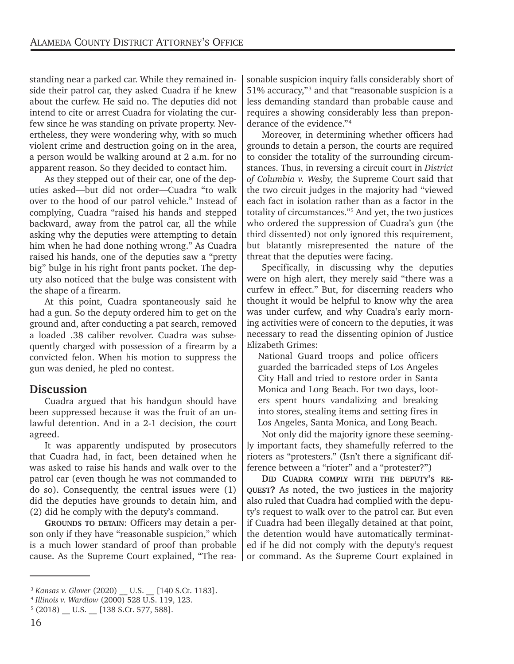standing near a parked car. While they remained inside their patrol car, they asked Cuadra if he knew about the curfew. He said no. The deputies did not intend to cite or arrest Cuadra for violating the curfew since he was standing on private property. Nevertheless, they were wondering why, with so much violent crime and destruction going on in the area, a person would be walking around at 2 a.m. for no apparent reason. So they decided to contact him.

As they stepped out of their car, one of the deputies asked—but did not order—Cuadra "to walk over to the hood of our patrol vehicle." Instead of complying, Cuadra "raised his hands and stepped backward, away from the patrol car, all the while asking why the deputies were attempting to detain him when he had done nothing wrong." As Cuadra raised his hands, one of the deputies saw a "pretty big" bulge in his right front pants pocket. The deputy also noticed that the bulge was consistent with the shape of a firearm.

At this point, Cuadra spontaneously said he had a gun. So the deputy ordered him to get on the ground and, after conducting a pat search, removed a loaded .38 caliber revolver. Cuadra was subsequently charged with possession of a firearm by a convicted felon. When his motion to suppress the gun was denied, he pled no contest.

#### **Discussion**

Cuadra argued that his handgun should have been suppressed because it was the fruit of an unlawful detention. And in a 2-1 decision, the court agreed.

It was apparently undisputed by prosecutors that Cuadra had, in fact, been detained when he was asked to raise his hands and walk over to the patrol car (even though he was not commanded to do so). Consequently, the central issues were (1) did the deputies have grounds to detain him, and (2) did he comply with the deputy's command.

**GROUNDS TO DETAIN**: Officers may detain a person only if they have "reasonable suspicion," which is a much lower standard of proof than probable cause. As the Supreme Court explained, "The rea-

sonable suspicion inquiry falls considerably short of 51% accuracy,"<sup>3</sup> and that "reasonable suspicion is a less demanding standard than probable cause and requires a showing considerably less than preponderance of the evidence."4

Moreover, in determining whether officers had grounds to detain a person, the courts are required to consider the totality of the surrounding circumstances. Thus, in reversing a circuit court in *District of Columbia v. Wesby,* the Supreme Court said that the two circuit judges in the majority had "viewed each fact in isolation rather than as a factor in the totality of circumstances."5 And yet, the two justices who ordered the suppression of Cuadra's gun (the third dissented) not only ignored this requirement, but blatantly misrepresented the nature of the threat that the deputies were facing.

Specifically, in discussing why the deputies were on high alert, they merely said "there was a curfew in effect." But, for discerning readers who thought it would be helpful to know why the area was under curfew, and why Cuadra's early morning activities were of concern to the deputies, it was necessary to read the dissenting opinion of Justice Elizabeth Grimes:

National Guard troops and police officers guarded the barricaded steps of Los Angeles City Hall and tried to restore order in Santa Monica and Long Beach. For two days, looters spent hours vandalizing and breaking into stores, stealing items and setting fires in Los Angeles, Santa Monica, and Long Beach.

Not only did the majority ignore these seemingly important facts, they shamefully referred to the rioters as "protesters." (Isn't there a significant difference between a "rioter" and a "protester?")

**DID CUADRA COMPLY WITH THE DEPUTY'S RE-QUEST?** As noted, the two justices in the majority also ruled that Cuadra had complied with the deputy's request to walk over to the patrol car. But even if Cuadra had been illegally detained at that point, the detention would have automatically terminated if he did not comply with the deputy's request or command. As the Supreme Court explained in

<sup>3</sup> *Kansas v. Glover* (2020) \_\_ U.S. \_\_ [140 S.Ct. 1183].

<sup>4</sup> *Illinois v. Wardlow* (2000) 528 U.S. 119, 123 .

 $5(2018)$  U.S.  $[138 S.Ct. 577, 588]$ .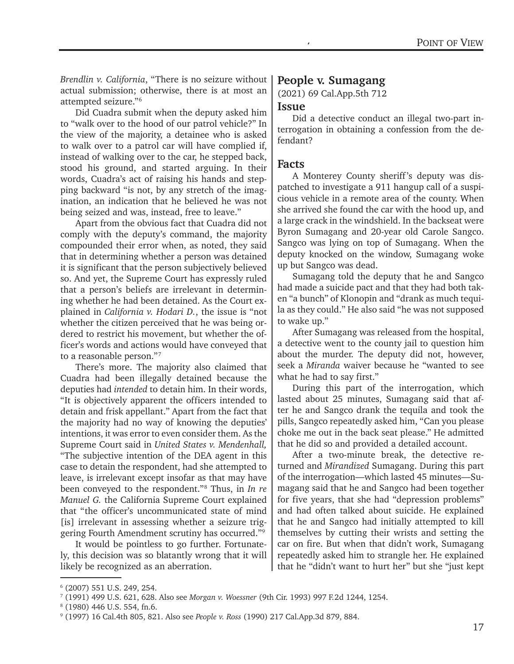*Brendlin v. California*, "There is no seizure without actual submission; otherwise, there is at most an attempted seizure."6

Did Cuadra submit when the deputy asked him to "walk over to the hood of our patrol vehicle?" In the view of the majority, a detainee who is asked to walk over to a patrol car will have complied if, instead of walking over to the car, he stepped back, stood his ground, and started arguing. In their words, Cuadra's act of raising his hands and stepping backward "is not, by any stretch of the imagination, an indication that he believed he was not being seized and was, instead, free to leave."

Apart from the obvious fact that Cuadra did not comply with the deputy's command, the majority compounded their error when, as noted, they said that in determining whether a person was detained it is significant that the person subjectively believed so. And yet, the Supreme Court has expressly ruled that a person's beliefs are irrelevant in determining whether he had been detained. As the Court explained in *California v. Hodari D.*, the issue is "not whether the citizen perceived that he was being ordered to restrict his movement, but whether the officer's words and actions would have conveyed that to a reasonable person."7

There's more. The majority also claimed that Cuadra had been illegally detained because the deputies had *intended* to detain him. In their words, "It is objectively apparent the officers intended to detain and frisk appellant." Apart from the fact that the majority had no way of knowing the deputies' intentions, it was error to even consider them. As the Supreme Court said in *United States v. Mendenhall,*  "The subjective intention of the DEA agent in this case to detain the respondent, had she attempted to leave, is irrelevant except insofar as that may have been conveyed to the respondent."8 Thus, in *In re Manuel G.* the California Supreme Court explained that "the officer's uncommunicated state of mind [is] irrelevant in assessing whether a seizure triggering Fourth Amendment scrutiny has occurred."9

It would be pointless to go further. Fortunately, this decision was so blatantly wrong that it will likely be recognized as an aberration.

#### **People v. Sumagang**

(2021) 69 Cal.App.5th 712

#### **Issue**

Did a detective conduct an illegal two-part interrogation in obtaining a confession from the defendant?

#### **Facts**

A Monterey County sheriff 's deputy was dispatched to investigate a 911 hangup call of a suspicious vehicle in a remote area of the county. When she arrived she found the car with the hood up, and a large crack in the windshield. In the backseat were Byron Sumagang and 20-year old Carole Sangco. Sangco was lying on top of Sumagang. When the deputy knocked on the window, Sumagang woke up but Sangco was dead.

Sumagang told the deputy that he and Sangco had made a suicide pact and that they had both taken "a bunch" of Klonopin and "drank as much tequila as they could." He also said "he was not supposed to wake up."

After Sumagang was released from the hospital, a detective went to the county jail to question him about the murder. The deputy did not, however, seek a *Miranda* waiver because he "wanted to see what he had to say first."

During this part of the interrogation, which lasted about 25 minutes, Sumagang said that after he and Sangco drank the tequila and took the pills, Sangco repeatedly asked him, "Can you please choke me out in the back seat please." He admitted that he did so and provided a detailed account.

After a two-minute break, the detective returned and *Mirandized* Sumagang. During this part of the interrogation—which lasted 45 minutes—Sumagang said that he and Sangco had been together for five years, that she had "depression problems" and had often talked about suicide. He explained that he and Sangco had initially attempted to kill themselves by cutting their wrists and setting the car on fire. But when that didn't work, Sumagang repeatedly asked him to strangle her. He explained that he "didn't want to hurt her" but she "just kept

<sup>6</sup> (2007) 551 U.S. 249, 254.

<sup>7</sup> (1991) 499 U.S. 621, 628. Also see *Morgan v. Woessner* (9th Cir. 1993) 997 F.2d 1244, 1254.

<sup>8</sup> (1980) 446 U.S. 554, fn.6.

<sup>9</sup> (1997) 16 Cal.4th 805, 821. Also see *People v. Ross* (1990) 217 Cal.App.3d 879, 884.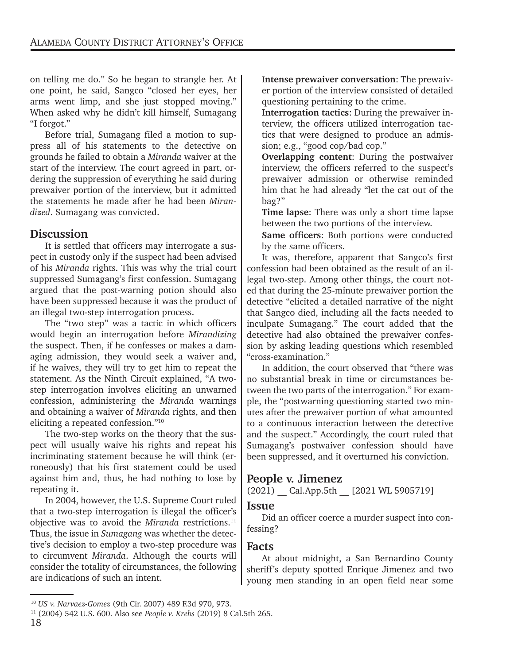on telling me do." So he began to strangle her. At one point, he said, Sangco "closed her eyes, her arms went limp, and she just stopped moving." When asked why he didn't kill himself, Sumagang "I forgot."

Before trial, Sumagang filed a motion to suppress all of his statements to the detective on grounds he failed to obtain a *Miranda* waiver at the start of the interview. The court agreed in part, ordering the suppression of everything he said during prewaiver portion of the interview, but it admitted the statements he made after he had been *Mirandized*. Sumagang was convicted.

#### **Discussion**

It is settled that officers may interrogate a suspect in custody only if the suspect had been advised of his *Miranda* rights. This was why the trial court suppressed Sumagang's first confession. Sumagang argued that the post-warning potion should also have been suppressed because it was the product of an illegal two-step interrogation process.

The "two step" was a tactic in which officers would begin an interrogation before *Mirandizing* the suspect. Then, if he confesses or makes a damaging admission, they would seek a waiver and, if he waives, they will try to get him to repeat the statement. As the Ninth Circuit explained, "A twostep interrogation involves eliciting an unwarned confession, administering the *Miranda* warnings and obtaining a waiver of *Miranda* rights, and then eliciting a repeated confession."10

The two-step works on the theory that the suspect will usually waive his rights and repeat his incriminating statement because he will think (erroneously) that his first statement could be used against him and, thus, he had nothing to lose by repeating it.

In 2004, however, the U.S. Supreme Court ruled that a two-step interrogation is illegal the officer's objective was to avoid the *Miranda* restrictions.<sup>11</sup> Thus, the issue in *Sumagang* was whether the detective's decision to employ a two-step procedure was to circumvent *Miranda*. Although the courts will consider the totality of circumstances, the following are indications of such an intent.

**Interrogation tactics**: During the prewaiver interview, the officers utilized interrogation tactics that were designed to produce an admission; e.g., "good cop/bad cop."

**Overlapping content**: During the postwaiver interview, the officers referred to the suspect's prewaiver admission or otherwise reminded him that he had already "let the cat out of the bag?"

**Time lapse**: There was only a short time lapse between the two portions of the interview.

**Same officers**: Both portions were conducted by the same officers.

It was, therefore, apparent that Sangco's first confession had been obtained as the result of an illegal two-step. Among other things, the court noted that during the 25-minute prewaiver portion the detective "elicited a detailed narrative of the night that Sangco died, including all the facts needed to inculpate Sumagang." The court added that the detective had also obtained the prewaiver confession by asking leading questions which resembled "cross-examination."

In addition, the court observed that "there was no substantial break in time or circumstances between the two parts of the interrogation." For example, the "postwarning questioning started two minutes after the prewaiver portion of what amounted to a continuous interaction between the detective and the suspect." Accordingly, the court ruled that Sumagang's postwaiver confession should have been suppressed, and it overturned his conviction.

#### **People v. Jimenez**

(2021) \_\_ Cal.App.5th \_\_ [2021 WL 5905719]

#### **Issue**

Did an officer coerce a murder suspect into confessing?

#### **Facts**

At about midnight, a San Bernardino County sheriff's deputy spotted Enrique Jimenez and two young men standing in an open field near some

**Intense prewaiver conversation**: The prewaiver portion of the interview consisted of detailed questioning pertaining to the crime.

<sup>10</sup> *US v. Narvaez-Gomez* (9th Cir. 2007) 489 F.3d 970, 973. 11 (2004) 542 U.S. 600. Also see *People v. Krebs* (2019) 8 Cal.5th 265.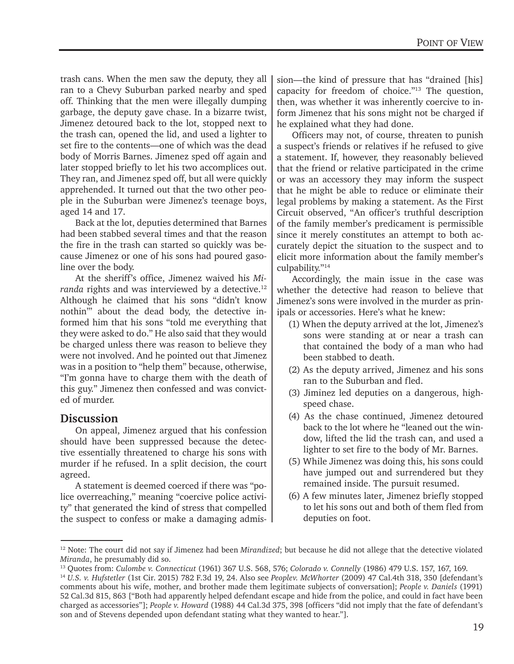trash cans. When the men saw the deputy, they all ran to a Chevy Suburban parked nearby and sped off. Thinking that the men were illegally dumping garbage, the deputy gave chase. In a bizarre twist, Jimenez detoured back to the lot, stopped next to the trash can, opened the lid, and used a lighter to set fire to the contents—one of which was the dead body of Morris Barnes. Jimenez sped off again and later stopped briefly to let his two accomplices out. They ran, and Jimenez sped off, but all were quickly apprehended. It turned out that the two other people in the Suburban were Jimenez's teenage boys, aged 14 and 17.

Back at the lot, deputies determined that Barnes had been stabbed several times and that the reason the fire in the trash can started so quickly was because Jimenez or one of his sons had poured gasoline over the body.

At the sheriff's office, Jimenez waived his *Miranda* rights and was interviewed by a detective.<sup>12</sup> Although he claimed that his sons "didn't know nothin'" about the dead body, the detective informed him that his sons "told me everything that they were asked to do." He also said that they would be charged unless there was reason to believe they were not involved. And he pointed out that Jimenez was in a position to "help them" because, otherwise, "I'm gonna have to charge them with the death of this guy." Jimenez then confessed and was convicted of murder.

#### **Discussion**

On appeal, Jimenez argued that his confession should have been suppressed because the detective essentially threatened to charge his sons with murder if he refused. In a split decision, the court agreed.

A statement is deemed coerced if there was "police overreaching," meaning "coercive police activity" that generated the kind of stress that compelled the suspect to confess or make a damaging admis-

sion—the kind of pressure that has "drained [his] capacity for freedom of choice."13 The question, then, was whether it was inherently coercive to inform Jimenez that his sons might not be charged if he explained what they had done.

Officers may not, of course, threaten to punish a suspect's friends or relatives if he refused to give a statement. If, however, they reasonably believed that the friend or relative participated in the crime or was an accessory they may inform the suspect that he might be able to reduce or eliminate their legal problems by making a statement. As the First Circuit observed, "An officer's truthful description of the family member's predicament is permissible since it merely constitutes an attempt to both accurately depict the situation to the suspect and to elicit more information about the family member's culpability."14

Accordingly, the main issue in the case was whether the detective had reason to believe that Jimenez's sons were involved in the murder as prinipals or accessories. Here's what he knew:

- (1) When the deputy arrived at the lot, Jimenez's sons were standing at or near a trash can that contained the body of a man who had been stabbed to death.
- (2) As the deputy arrived, Jimenez and his sons ran to the Suburban and fled.
- (3) Jiminez led deputies on a dangerous, highspeed chase.
- (4) As the chase continued, Jimenez detoured back to the lot where he "leaned out the window, lifted the lid the trash can, and used a lighter to set fire to the body of Mr. Barnes.
- (5) While Jimenez was doing this, his sons could have jumped out and surrendered but they remained inside. The pursuit resumed.
- (6) A few minutes later, Jimenez briefly stopped to let his sons out and both of them fled from deputies on foot.

<sup>12</sup> Note: The court did not say if Jimenez had been *Mirandized*; but because he did not allege that the detective violated *Miranda*, he presumably did so.

<sup>13</sup> Quotes from: *Culombe v. Connecticut* (1961) 367 U.S. 568, 576; *Colorado v. Connelly* (1986) 479 U.S. 157, 167, 169.

<sup>14</sup> *U.S. v. Hufstetler* (1st Cir. 2015) 782 F.3d 19, 24. Also see *Peoplev. McWhorter* (2009) 47 Cal.4th 318, 350 [defendant's comments about his wife, mother, and brother made them legitimate subjects of conversation]; *People v. Daniels* (1991) 52 Cal.3d 815, 863 ["Both had apparently helped defendant escape and hide from the police, and could in fact have been charged as accessories"]; *People v. Howard* (1988) 44 Cal.3d 375, 398 [officers "did not imply that the fate of defendant's son and of Stevens depended upon defendant stating what they wanted to hear."].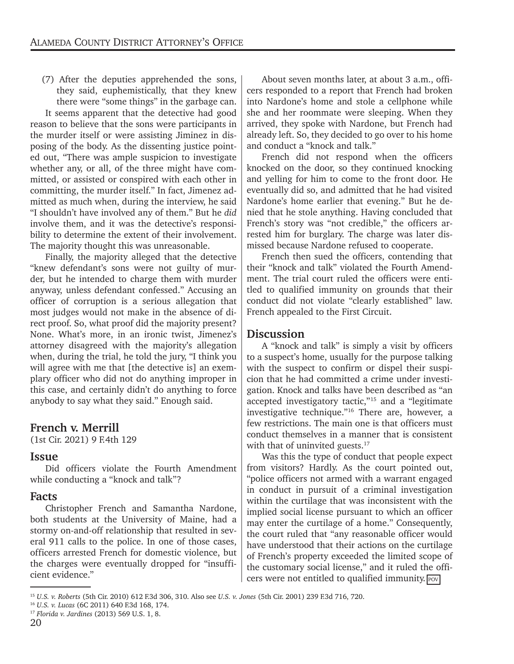(7) After the deputies apprehended the sons, they said, euphemistically, that they knew there were "some things" in the garbage can.

It seems apparent that the detective had good reason to believe that the sons were participants in the murder itself or were assisting Jiminez in disposing of the body. As the dissenting justice pointed out, "There was ample suspicion to investigate whether any, or all, of the three might have committed, or assisted or conspired with each other in committing, the murder itself." In fact, Jimenez admitted as much when, during the interview, he said "I shouldn't have involved any of them." But he *did* involve them, and it was the detective's responsibility to determine the extent of their involvement. The majority thought this was unreasonable.

Finally, the majority alleged that the detective "knew defendant's sons were not guilty of murder, but he intended to charge them with murder anyway, unless defendant confessed." Accusing an officer of corruption is a serious allegation that most judges would not make in the absence of direct proof. So, what proof did the majority present? None. What's more, in an ironic twist, Jimenez's attorney disagreed with the majority's allegation when, during the trial, he told the jury, "I think you will agree with me that [the detective is] an exemplary officer who did not do anything improper in this case, and certainly didn't do anything to force anybody to say what they said." Enough said.

#### **French v. Merrill**

(1st Cir. 2021) 9 F.4th 129

#### **Issue**

Did officers violate the Fourth Amendment while conducting a "knock and talk"?

#### **Facts**

Christopher French and Samantha Nardone, both students at the University of Maine, had a stormy on-and-off relationship that resulted in several 911 calls to the police. In one of those cases, officers arrested French for domestic violence, but the charges were eventually dropped for "insufficient evidence."

About seven months later, at about 3 a.m., officers responded to a report that French had broken into Nardone's home and stole a cellphone while she and her roommate were sleeping. When they arrived, they spoke with Nardone, but French had already left. So, they decided to go over to his home and conduct a "knock and talk."

French did not respond when the officers knocked on the door, so they continued knocking and yelling for him to come to the front door. He eventually did so, and admitted that he had visited Nardone's home earlier that evening." But he denied that he stole anything. Having concluded that French's story was "not credible," the officers arrested him for burglary. The charge was later dismissed because Nardone refused to cooperate.

French then sued the officers, contending that their "knock and talk" violated the Fourth Amendment. The trial court ruled the officers were entitled to qualified immunity on grounds that their conduct did not violate "clearly established" law. French appealed to the First Circuit.

#### **Discussion**

A "knock and talk" is simply a visit by officers to a suspect's home, usually for the purpose talking with the suspect to confirm or dispel their suspicion that he had committed a crime under investigation. Knock and talks have been described as "an accepted investigatory tactic,"15 and a "legitimate investigative technique."16 There are, however, a few restrictions. The main one is that officers must conduct themselves in a manner that is consistent with that of uninvited guests.<sup>17</sup>

Was this the type of conduct that people expect from visitors? Hardly. As the court pointed out, "police officers not armed with a warrant engaged in conduct in pursuit of a criminal investigation within the curtilage that was inconsistent with the implied social license pursuant to which an officer may enter the curtilage of a home." Consequently, the court ruled that "any reasonable officer would have understood that their actions on the curtilage of French's property exceeded the limited scope of the customary social license," and it ruled the officers were not entitled to qualified immunity.  $\boxed{Pov}$ 

<sup>15</sup> *U.S. v. Roberts* (5th Cir. 2010) 612 F.3d 306, 310. Also see *U.S. v. Jones* (5th Cir. 2001) 239 F.3d 716, 720.

<sup>16</sup> *U.S. v. Lucas* (6C 2011) 640 F.3d 168, 174.

<sup>17</sup> *Florida v. Jardines* (2013) 569 U.S. 1, 8.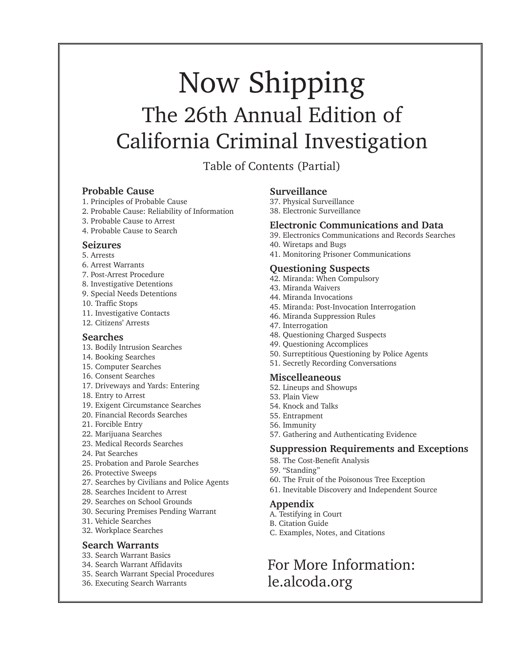### Now Shipping The 26th Annual Edition of California Criminal Investigation

Table of Contents (Partial)

#### **Probable Cause**

- 1. Principles of Probable Cause
- 2. Probable Cause: Reliability of Information
- 3. Probable Cause to Arrest
- 4. Probable Cause to Search

#### **Seizures**

- 5. Arrests
- 6. Arrest Warrants
- 7. Post-Arrest Procedure
- 8. Investigative Detentions
- 9. Special Needs Detentions
- 10. Traffic Stops
- 11. Investigative Contacts
- 12. Citizens' Arrests

#### **Searches**

- 13. Bodily Intrusion Searches
- 14. Booking Searches
- 15. Computer Searches
- 16. Consent Searches
- 17. Driveways and Yards: Entering
- 18. Entry to Arrest
- 19. Exigent Circumstance Searches
- 20. Financial Records Searches
- 21. Forcible Entry
- 22. Marijuana Searches
- 23. Medical Records Searches
- 24. Pat Searches
- 25. Probation and Parole Searches
- 26. Protective Sweeps
- 27. Searches by Civilians and Police Agents
- 28. Searches Incident to Arrest
- 29. Searches on School Grounds
- 30. Securing Premises Pending Warrant
- 31. Vehicle Searches
- 32. Workplace Searches

#### **Search Warrants**

- 33. Search Warrant Basics
- 34. Search Warrant Affidavits
- 35. Search Warrant Special Procedures
- 36. Executing Search Warrants

#### **Surveillance**

- 37. Physical Surveillance
- 38. Electronic Surveillance

#### **Electronic Communications and Data**

- 39. Electronics Communications and Records Searches
- 40. Wiretaps and Bugs
- 41. Monitoring Prisoner Communications

#### **Questioning Suspects**

- 42. Miranda: When Compulsory
- 43. Miranda Waivers
- 44. Miranda Invocations
- 45. Miranda: Post-Invocation Interrogation
- 46. Miranda Suppression Rules
- 47. Interrogation
- 48. Questioning Charged Suspects
- 49. Questioning Accomplices
- 50. Surreptitious Questioning by Police Agents
- 51. Secretly Recording Conversations

#### **Miscelleaneous**

- 52. Lineups and Showups
- 53. Plain View
- 54. Knock and Talks
- 55. Entrapment
- 56. Immunity
- 57. Gathering and Authenticating Evidence

#### **Suppression Requirements and Exceptions**

- 58. The Cost-Benefit Analysis
- 59. "Standing"
- 60. The Fruit of the Poisonous Tree Exception
- 61. Inevitable Discovery and Independent Source

#### **Appendix**

- A. Testifying in Court
- B. Citation Guide
- C. Examples, Notes, and Citations

#### For More Information: le.alcoda.org